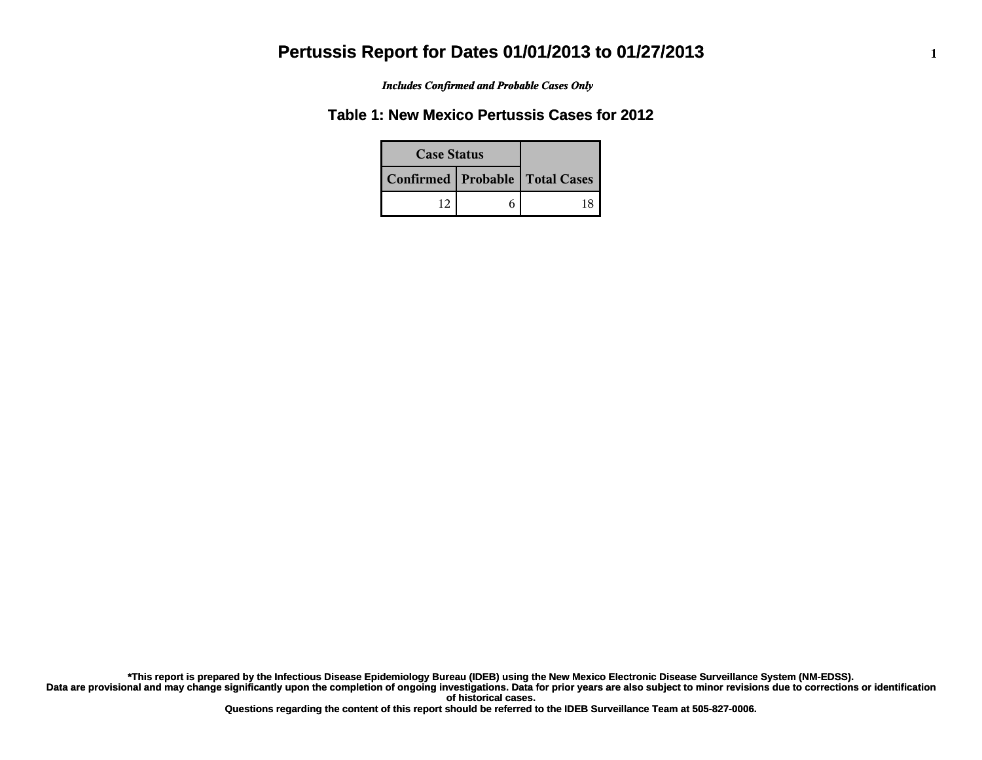*Includes Confirmed and Probable Cases Only*

### **Table 1: New Mexico Pertussis Cases for 2012**

| <b>Case Status</b> |                                    |  |  |
|--------------------|------------------------------------|--|--|
|                    | Confirmed   Probable   Total Cases |  |  |
|                    | 12                                 |  |  |

**Data are provisional and may change significantly upon the completion of ongoing investigations. Data for prior years are also subject to minor revisions due to corrections or identification of historical cases. \*This report is prepared by the Infectious Disease Epidemiology Bureau (IDEB) using the New Mexico Electronic Disease Surveillance System (NM-EDSS).**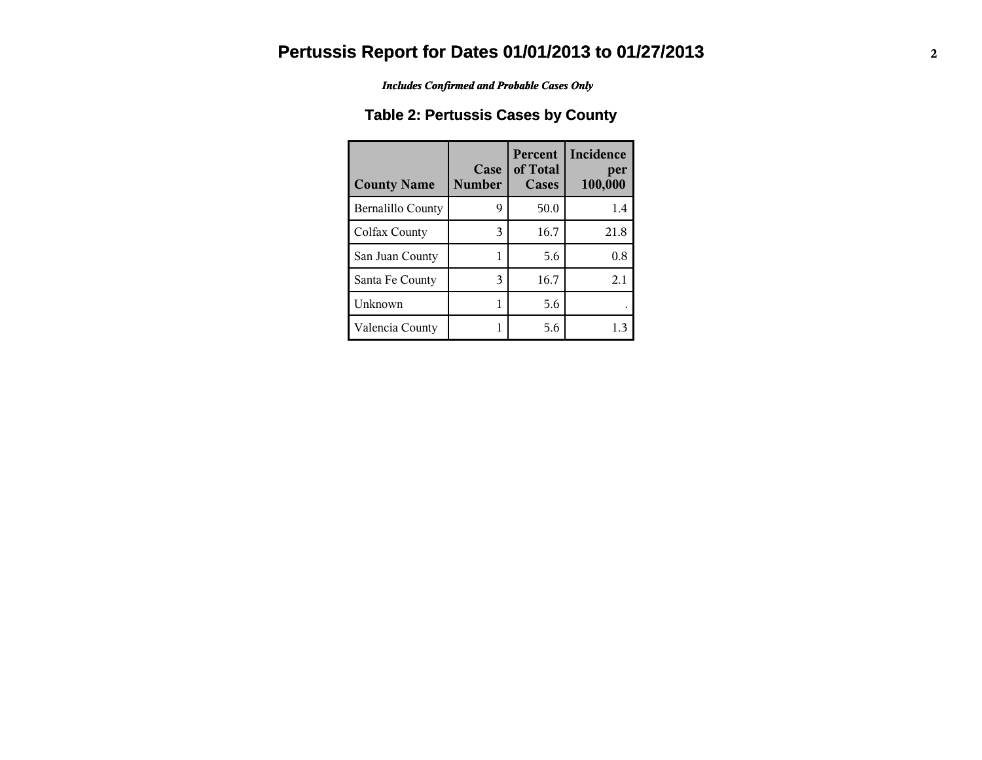*Includes Confirmed and Probable Cases Only*

## **Table 2: Pertussis Cases by County**

| <b>County Name</b> | Case<br><b>Number</b> | <b>Percent</b><br>of Total<br>Cases | Incidence<br>per<br>100,000 |
|--------------------|-----------------------|-------------------------------------|-----------------------------|
| Bernalillo County  | 9                     | 50.0                                | 1.4                         |
| Colfax County      | 3                     | 16.7                                | 21.8                        |
| San Juan County    |                       | 5.6                                 | 0.8                         |
| Santa Fe County    | 3                     | 16.7                                | 2.1                         |
| Unknown            | 1                     | 5.6                                 |                             |
| Valencia County    |                       | 5.6                                 | 1.3                         |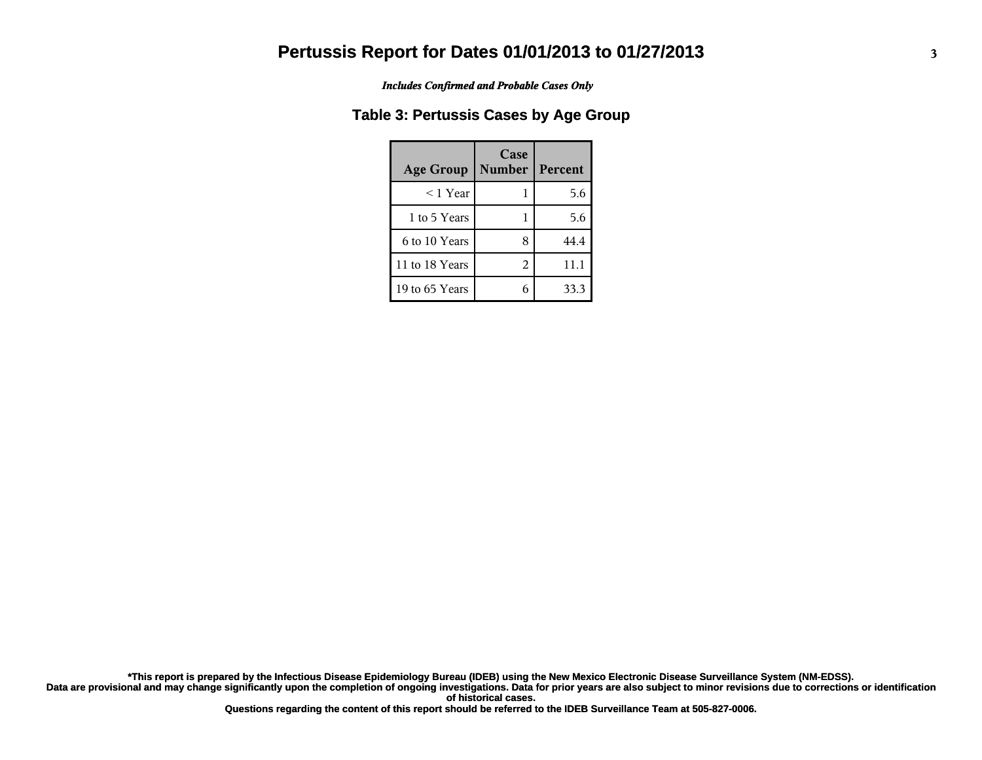*Includes Confirmed and Probable Cases Only*

### **Table 3: Pertussis Cases by Age Group**

| <b>Age Group</b> | Case<br><b>Number</b> | Percent |
|------------------|-----------------------|---------|
| $<$ 1 Year       |                       | 5.6     |
| 1 to 5 Years     |                       | 5.6     |
| 6 to 10 Years    | 8                     | 44.4    |
| 11 to 18 Years   | 2                     | 11.1    |
| 19 to 65 Years   |                       | 33.3    |

**Data are provisional and may change significantly upon the completion of ongoing investigations. Data for prior years are also subject to minor revisions due to corrections or identification of historical cases. \*This report is prepared by the Infectious Disease Epidemiology Bureau (IDEB) using the New Mexico Electronic Disease Surveillance System (NM-EDSS).**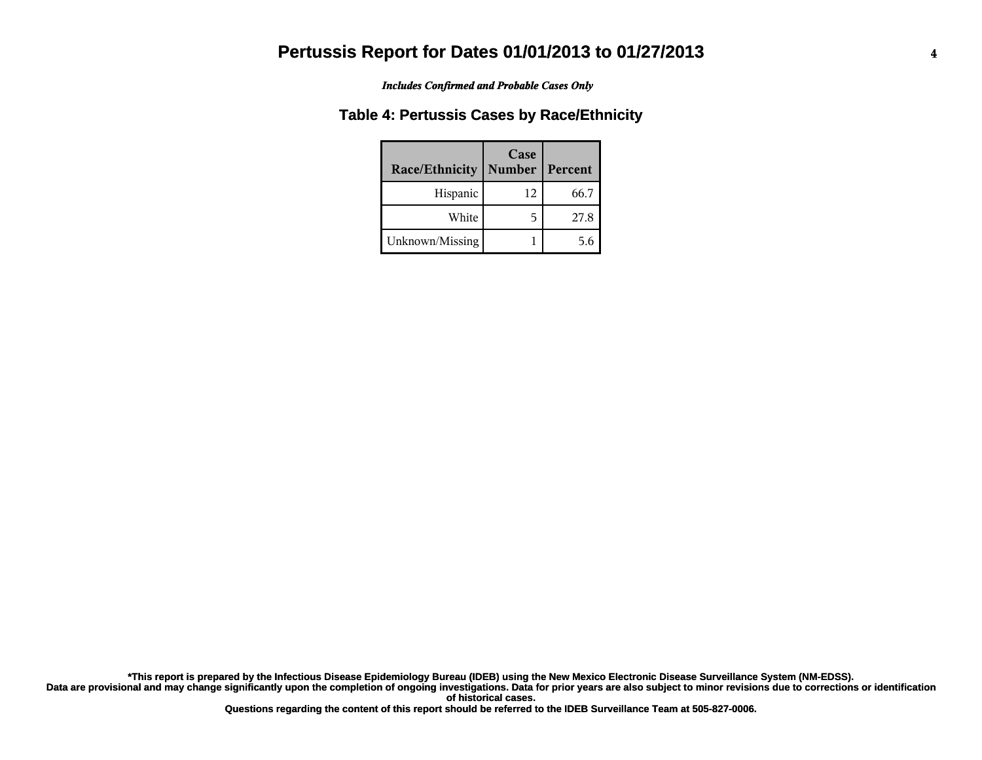#### *Includes Confirmed and Probable Cases Only*

### **Table 4: Pertussis Cases by Race/Ethnicity**

| Race/Ethnicity  | Case<br>Number   Percent |      |
|-----------------|--------------------------|------|
| Hispanic        | 12                       | 66.7 |
| White           | 5                        | 27.8 |
| Unknown/Missing |                          | 56   |

**Data are provisional and may change significantly upon the completion of ongoing investigations. Data for prior years are also subject to minor revisions due to corrections or identification of historical cases. \*This report is prepared by the Infectious Disease Epidemiology Bureau (IDEB) using the New Mexico Electronic Disease Surveillance System (NM-EDSS).**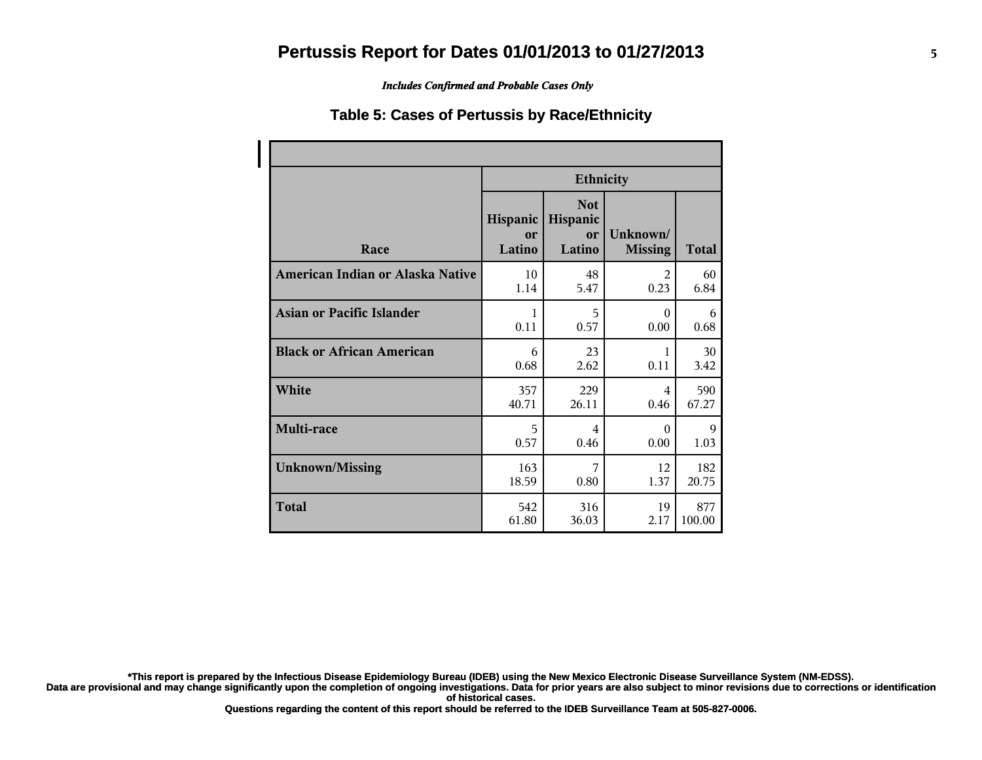#### *Includes Confirmed and Probable Cases Only*

#### **Table 5: Cases of Pertussis by Race/Ethnicity**

|                                  | <b>Ethnicity</b>         |                                        |                            |              |  |
|----------------------------------|--------------------------|----------------------------------------|----------------------------|--------------|--|
| Race                             | Hispanic<br>or<br>Latino | <b>Not</b><br>Hispanic<br>or<br>Latino | Unknown/<br><b>Missing</b> | <b>Total</b> |  |
| American Indian or Alaska Native | 10                       | 48                                     | $\mathfrak{D}$             | 60           |  |
|                                  | 1.14                     | 5.47                                   | 0.23                       | 6.84         |  |
| Asian or Pacific Islander        | 1                        | 5                                      | $\Omega$                   | 6            |  |
|                                  | 0.11                     | 0.57                                   | 0.00                       | 0.68         |  |
| <b>Black or African American</b> | 6                        | 23                                     | 1                          | 30           |  |
|                                  | 0.68                     | 2.62                                   | 0.11                       | 3.42         |  |
| White                            | 357                      | 229                                    | 4                          | 590          |  |
|                                  | 40.71                    | 26.11                                  | 0.46                       | 67.27        |  |
| Multi-race                       | 5                        | $\overline{4}$                         | $\Omega$                   | 9            |  |
|                                  | 0.57                     | 0.46                                   | 0.00                       | 1.03         |  |
| <b>Unknown/Missing</b>           | 163                      | 7                                      | 12                         | 182          |  |
|                                  | 18.59                    | 0.80                                   | 1.37                       | 20.75        |  |
| <b>Total</b>                     | 542                      | 316                                    | 19                         | 877          |  |
|                                  | 61.80                    | 36.03                                  | 2.17                       | 100.00       |  |

**\*This report is prepared by the Infectious Disease Epidemiology Bureau (IDEB) using the New Mexico Electronic Disease Surveillance System (NM-EDSS).**

**Data are provisional and may change significantly upon the completion of ongoing investigations. Data for prior years are also subject to minor revisions due to corrections or identification of historical cases.**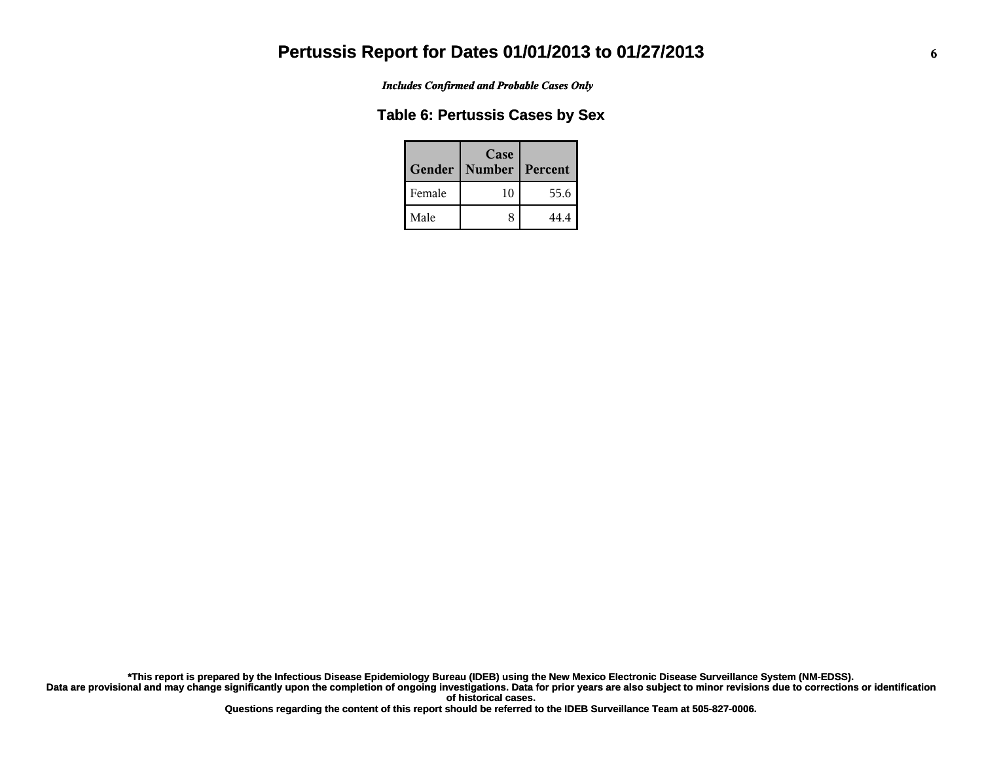*Includes Confirmed and Probable Cases Only*

### **Table 6: Pertussis Cases by Sex**

| Gender | Case<br><b>Number</b> | Percent |
|--------|-----------------------|---------|
| Female | 10                    | 55.6    |
| Male   | 8                     | 44.4    |

**Data are provisional and may change significantly upon the completion of ongoing investigations. Data for prior years are also subject to minor revisions due to corrections or identification of historical cases. \*This report is prepared by the Infectious Disease Epidemiology Bureau (IDEB) using the New Mexico Electronic Disease Surveillance System (NM-EDSS).**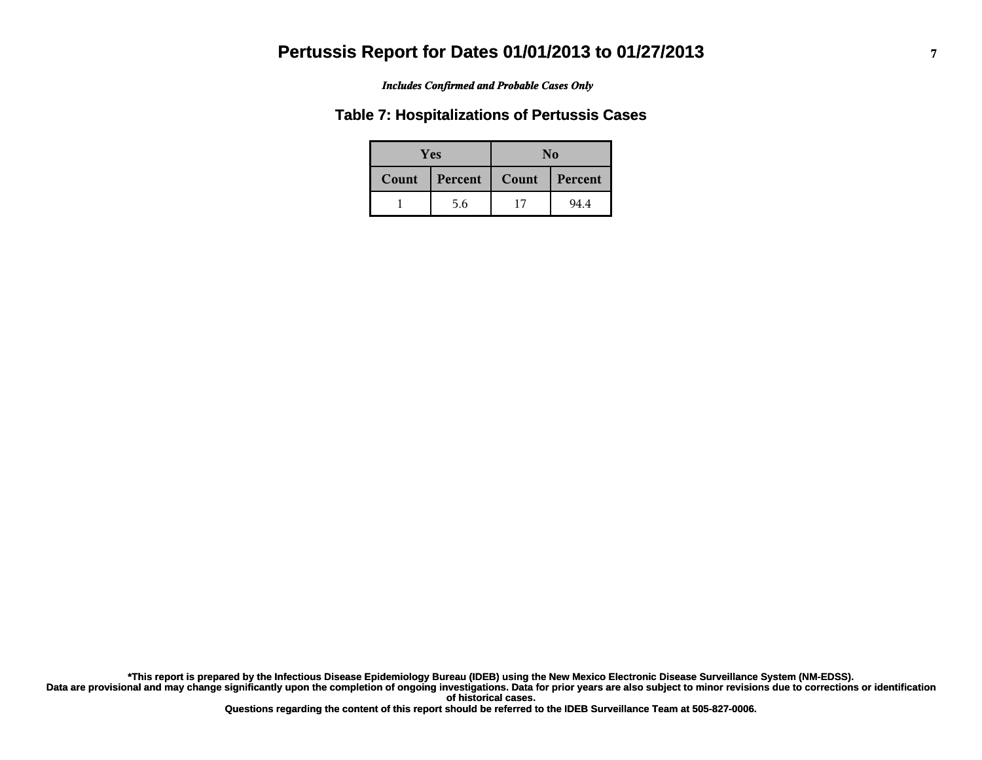#### *Includes Confirmed and Probable Cases Only*

#### **Table 7: Hospitalizations of Pertussis Cases**

| <b>Yes</b> |         | No    |         |  |
|------------|---------|-------|---------|--|
| Count      | Percent | Count | Percent |  |
|            | 5.6     | 17    | 94.4    |  |

**Data are provisional and may change significantly upon the completion of ongoing investigations. Data for prior years are also subject to minor revisions due to corrections or identification of historical cases. \*This report is prepared by the Infectious Disease Epidemiology Bureau (IDEB) using the New Mexico Electronic Disease Surveillance System (NM-EDSS).**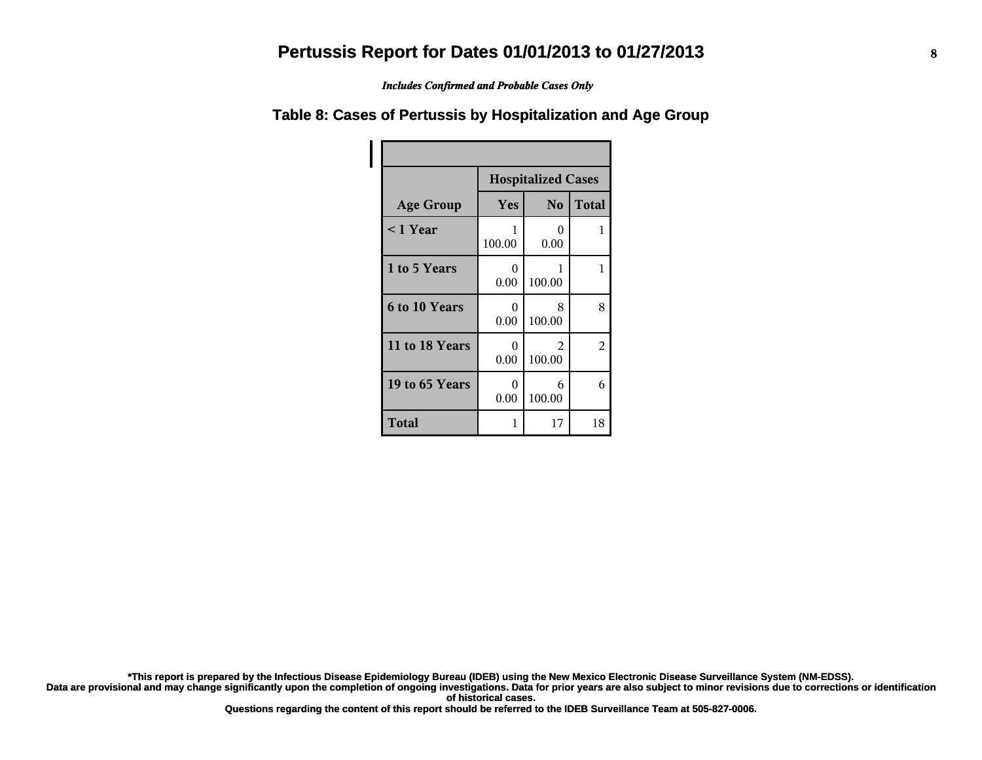*Includes Confirmed and Probable Cases Only*

### **Table 8: Cases of Pertussis by Hospitalization and Age Group**

|                  | <b>Hospitalized Cases</b>  |             |                |  |  |
|------------------|----------------------------|-------------|----------------|--|--|
| <b>Age Group</b> | No.<br><b>Total</b><br>Yes |             |                |  |  |
| <1 Year          | 1<br>100.00                | 0<br>0.00   | 1              |  |  |
| 1 to 5 Years     | 0<br>0.00                  | 1<br>100.00 | 1              |  |  |
| 6 to 10 Years    | 0<br>0.00                  | 8<br>100.00 | 8              |  |  |
| 11 to 18 Years   | 0<br>0.00                  | 2<br>100.00 | $\mathfrak{D}$ |  |  |
| 19 to 65 Years   | $\Omega$<br>0.00           | 6<br>100.00 | 6              |  |  |
| <b>Total</b>     | 1                          | 17          | 18             |  |  |

**\*This report is prepared by the Infectious Disease Epidemiology Bureau (IDEB) using the New Mexico Electronic Disease Surveillance System (NM-EDSS).**

**Data are provisional and may change significantly upon the completion of ongoing investigations. Data for prior years are also subject to minor revisions due to corrections or identification of historical cases.**